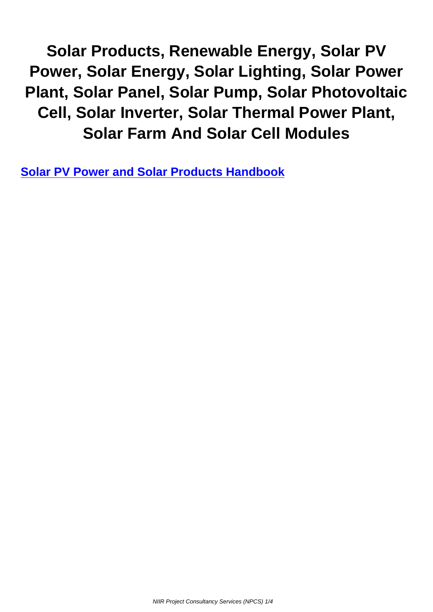**Solar Products, Renewable Energy, Solar PV Power, Solar Energy, Solar Lighting, Solar Power Plant, Solar Panel, Solar Pump, Solar Photovoltaic Cell, Solar Inverter, Solar Thermal Power Plant, Solar Farm And Solar Cell Modules**

**Solar PV Power and Solar Products Handbook**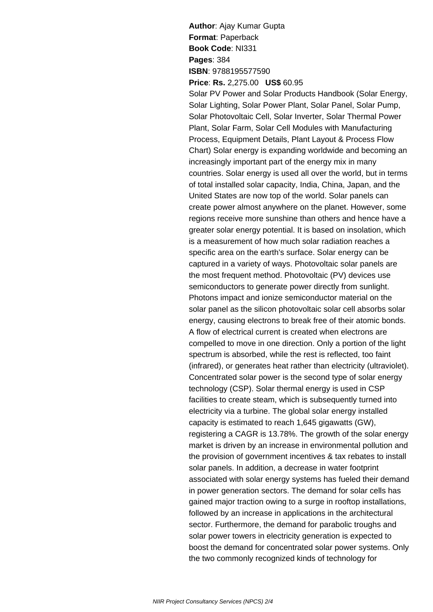**Author**: Ajay Kumar Gupta **Format**: Paperback **Book Code**: NI331 **Pages**: 384 **ISBN**: 9788195577590 **Price**: **Rs.** 2,275.00 **US\$** 60.95

Solar PV Power and Solar Products Handbook (Solar Energy, Solar Lighting, Solar Power Plant, Solar Panel, Solar Pump, Solar Photovoltaic Cell, Solar Inverter, Solar Thermal Power Plant, Solar Farm, Solar Cell Modules with Manufacturing

Process, Equipment Details, Plant Layout & Process Flow Chart) Solar energy is expanding worldwide and becoming an increasingly important part of the energy mix in many countries. Solar energy is used all over the world, but in terms of total installed solar capacity, India, China, Japan, and the United States are now top of the world. Solar panels can create power almost anywhere on the planet. However, some regions receive more sunshine than others and hence have a greater solar energy potential. It is based on insolation, which is a measurement of how much solar radiation reaches a specific area on the earth's surface. Solar energy can be captured in a variety of ways. Photovoltaic solar panels are the most frequent method. Photovoltaic (PV) devices use semiconductors to generate power directly from sunlight. Photons impact and ionize semiconductor material on the solar panel as the silicon photovoltaic solar cell absorbs solar energy, causing electrons to break free of their atomic bonds. A flow of electrical current is created when electrons are compelled to move in one direction. Only a portion of the light spectrum is absorbed, while the rest is reflected, too faint (infrared), or generates heat rather than electricity (ultraviolet). Concentrated solar power is the second type of solar energy technology (CSP). Solar thermal energy is used in CSP facilities to create steam, which is subsequently turned into electricity via a turbine. The global solar energy installed capacity is estimated to reach 1,645 gigawatts (GW), registering a CAGR is 13.78%. The growth of the solar energy market is driven by an increase in environmental pollution and the provision of government incentives & tax rebates to install solar panels. In addition, a decrease in water footprint associated with solar energy systems has fueled their demand in power generation sectors. The demand for solar cells has gained major traction owing to a surge in rooftop installations, followed by an increase in applications in the architectural sector. Furthermore, the demand for parabolic troughs and solar power towers in electricity generation is expected to boost the demand for concentrated solar power systems. Only the two commonly recognized kinds of technology for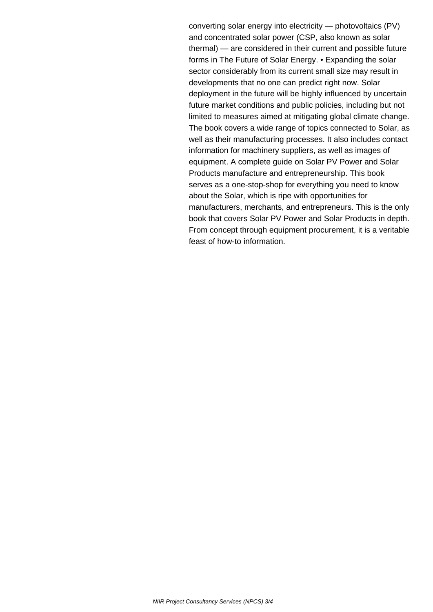converting solar energy into electricity — photovoltaics (PV) and concentrated solar power (CSP, also known as solar thermal) — are considered in their current and possible future forms in The Future of Solar Energy. • Expanding the solar sector considerably from its current small size may result in developments that no one can predict right now. Solar deployment in the future will be highly influenced by uncertain future market conditions and public policies, including but not limited to measures aimed at mitigating global climate change. The book covers a wide range of topics connected to Solar, as well as their manufacturing processes. It also includes contact information for machinery suppliers, as well as images of equipment. A complete guide on Solar PV Power and Solar Products manufacture and entrepreneurship. This book serves as a one-stop-shop for everything you need to know about the Solar, which is ripe with opportunities for manufacturers, merchants, and entrepreneurs. This is the only book that covers Solar PV Power and Solar Products in depth. From concept through equipment procurement, it is a veritable feast of how-to information.